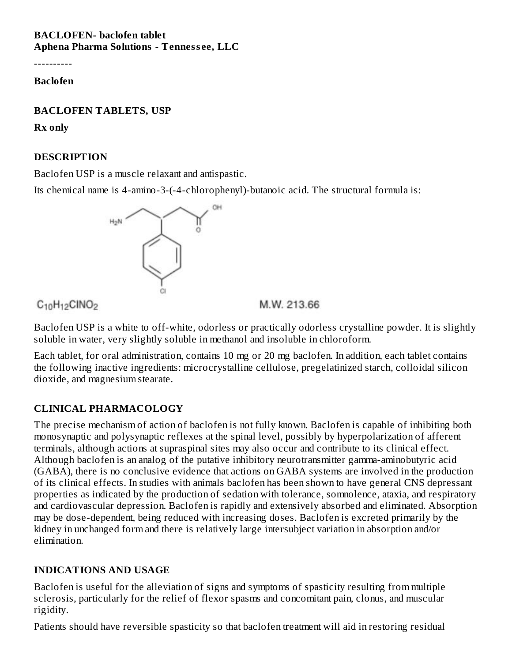#### **BACLOFEN- baclofen tablet Aphena Pharma Solutions - Tenness ee, LLC**

----------

#### **Baclofen**

#### **BACLOFEN TABLETS, USP**

**Rx only**

#### **DESCRIPTION**

Baclofen USP is a muscle relaxant and antispastic.

Its chemical name is 4-amino-3-(-4-chlorophenyl)-butanoic acid. The structural formula is:



 $C_{10}H_{12}CINO<sub>2</sub>$ 

M.W. 213.66

Baclofen USP is a white to off-white, odorless or practically odorless crystalline powder. It is slightly soluble in water, very slightly soluble in methanol and insoluble in chloroform.

Each tablet, for oral administration, contains 10 mg or 20 mg baclofen. In addition, each tablet contains the following inactive ingredients: microcrystalline cellulose, pregelatinized starch, colloidal silicon dioxide, and magnesium stearate.

# **CLINICAL PHARMACOLOGY**

The precise mechanism of action of baclofen is not fully known. Baclofen is capable of inhibiting both monosynaptic and polysynaptic reflexes at the spinal level, possibly by hyperpolarization of afferent terminals, although actions at supraspinal sites may also occur and contribute to its clinical effect. Although baclofen is an analog of the putative inhibitory neurotransmitter gamma-aminobutyric acid (GABA), there is no conclusive evidence that actions on GABA systems are involved in the production of its clinical effects. In studies with animals baclofen has been shown to have general CNS depressant properties as indicated by the production of sedation with tolerance, somnolence, ataxia, and respiratory and cardiovascular depression. Baclofen is rapidly and extensively absorbed and eliminated. Absorption may be dose-dependent, being reduced with increasing doses. Baclofen is excreted primarily by the kidney in unchanged form and there is relatively large intersubject variation in absorption and/or elimination.

## **INDICATIONS AND USAGE**

Baclofen is useful for the alleviation of signs and symptoms of spasticity resulting from multiple sclerosis, particularly for the relief of flexor spasms and concomitant pain, clonus, and muscular rigidity.

Patients should have reversible spasticity so that baclofen treatment will aid in restoring residual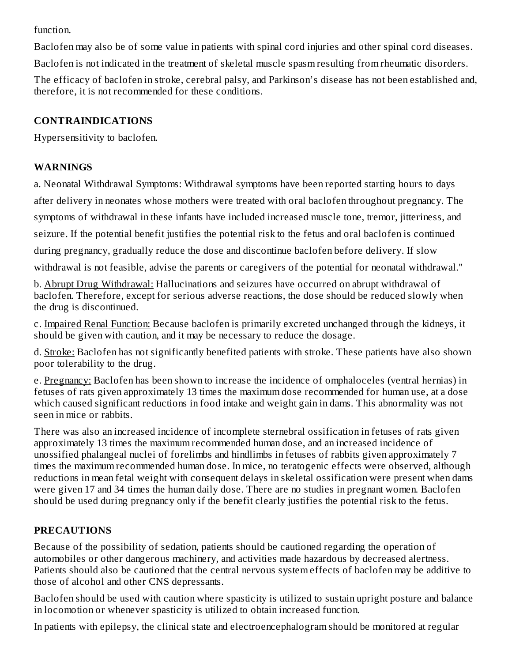function.

Baclofen may also be of some value in patients with spinal cord injuries and other spinal cord diseases.

Baclofen is not indicated in the treatment of skeletal muscle spasm resulting from rheumatic disorders.

The efficacy of baclofen in stroke, cerebral palsy, and Parkinson's disease has not been established and, therefore, it is not recommended for these conditions.

#### **CONTRAINDICATIONS**

Hypersensitivity to baclofen.

## **WARNINGS**

a. Neonatal Withdrawal Symptoms: Withdrawal symptoms have been reported starting hours to days after delivery in neonates whose mothers were treated with oral baclofen throughout pregnancy. The symptoms of withdrawal in these infants have included increased muscle tone, tremor, jitteriness, and

seizure. If the potential benefit justifies the potential risk to the fetus and oral baclofen is continued

during pregnancy, gradually reduce the dose and discontinue baclofen before delivery. If slow

withdrawal is not feasible, advise the parents or caregivers of the potential for neonatal withdrawal."

b. Abrupt Drug Withdrawal: Hallucinations and seizures have occurred on abrupt withdrawal of baclofen. Therefore, except for serious adverse reactions, the dose should be reduced slowly when the drug is discontinued.

c. Impaired Renal Function: Because baclofen is primarily excreted unchanged through the kidneys, it should be given with caution, and it may be necessary to reduce the dosage.

d. Stroke: Baclofen has not significantly benefited patients with stroke. These patients have also shown poor tolerability to the drug.

e. Pregnancy: Baclofen has been shown to increase the incidence of omphaloceles (ventral hernias) in fetuses of rats given approximately 13 times the maximum dose recommended for human use, at a dose which caused significant reductions in food intake and weight gain in dams. This abnormality was not seen in mice or rabbits.

There was also an increased incidence of incomplete sternebral ossification in fetuses of rats given approximately 13 times the maximum recommended human dose, and an increased incidence of unossified phalangeal nuclei of forelimbs and hindlimbs in fetuses of rabbits given approximately 7 times the maximum recommended human dose. In mice, no teratogenic effects were observed, although reductions in mean fetal weight with consequent delays in skeletal ossification were present when dams were given 17 and 34 times the human daily dose. There are no studies in pregnant women. Baclofen should be used during pregnancy only if the benefit clearly justifies the potential risk to the fetus.

## **PRECAUTIONS**

Because of the possibility of sedation, patients should be cautioned regarding the operation of automobiles or other dangerous machinery, and activities made hazardous by decreased alertness. Patients should also be cautioned that the central nervous system effects of baclofen may be additive to those of alcohol and other CNS depressants.

Baclofen should be used with caution where spasticity is utilized to sustain upright posture and balance in locomotion or whenever spasticity is utilized to obtain increased function.

In patients with epilepsy, the clinical state and electroencephalogram should be monitored at regular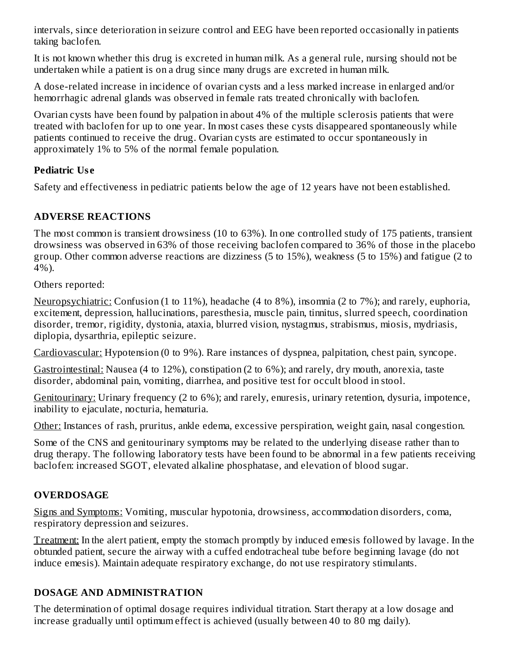intervals, since deterioration in seizure control and EEG have been reported occasionally in patients taking baclofen.

It is not known whether this drug is excreted in human milk. As a general rule, nursing should not be undertaken while a patient is on a drug since many drugs are excreted in human milk.

A dose-related increase in incidence of ovarian cysts and a less marked increase in enlarged and/or hemorrhagic adrenal glands was observed in female rats treated chronically with baclofen.

Ovarian cysts have been found by palpation in about 4% of the multiple sclerosis patients that were treated with baclofen for up to one year. In most cases these cysts disappeared spontaneously while patients continued to receive the drug. Ovarian cysts are estimated to occur spontaneously in approximately 1% to 5% of the normal female population.

## **Pediatric Us e**

Safety and effectiveness in pediatric patients below the age of 12 years have not been established.

## **ADVERSE REACTIONS**

The most common is transient drowsiness (10 to 63%). In one controlled study of 175 patients, transient drowsiness was observed in 63% of those receiving baclofen compared to 36% of those in the placebo group. Other common adverse reactions are dizziness (5 to 15%), weakness (5 to 15%) and fatigue (2 to 4%).

Others reported:

Neuropsychiatric: Confusion (1 to 11%), headache (4 to 8%), insomnia (2 to 7%); and rarely, euphoria, excitement, depression, hallucinations, paresthesia, muscle pain, tinnitus, slurred speech, coordination disorder, tremor, rigidity, dystonia, ataxia, blurred vision, nystagmus, strabismus, miosis, mydriasis, diplopia, dysarthria, epileptic seizure.

Cardiovascular: Hypotension (0 to 9%). Rare instances of dyspnea, palpitation, chest pain, syncope.

Gastrointestinal: Nausea (4 to 12%), constipation (2 to 6%); and rarely, dry mouth, anorexia, taste disorder, abdominal pain, vomiting, diarrhea, and positive test for occult blood in stool.

Genitourinary: Urinary frequency (2 to 6%); and rarely, enuresis, urinary retention, dysuria, impotence, inability to ejaculate, nocturia, hematuria.

Other: Instances of rash, pruritus, ankle edema, excessive perspiration, weight gain, nasal congestion.

Some of the CNS and genitourinary symptoms may be related to the underlying disease rather than to drug therapy. The following laboratory tests have been found to be abnormal in a few patients receiving baclofen: increased SGOT, elevated alkaline phosphatase, and elevation of blood sugar.

#### **OVERDOSAGE**

Signs and Symptoms: Vomiting, muscular hypotonia, drowsiness, accommodation disorders, coma, respiratory depression and seizures.

Treatment: In the alert patient, empty the stomach promptly by induced emesis followed by lavage. In the obtunded patient, secure the airway with a cuffed endotracheal tube before beginning lavage (do not induce emesis). Maintain adequate respiratory exchange, do not use respiratory stimulants.

## **DOSAGE AND ADMINISTRATION**

The determination of optimal dosage requires individual titration. Start therapy at a low dosage and increase gradually until optimum effect is achieved (usually between 40 to 80 mg daily).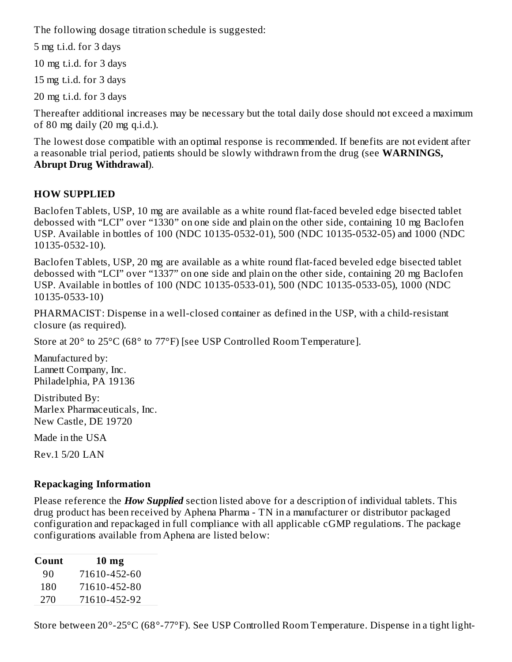The following dosage titration schedule is suggested:

5 mg t.i.d. for 3 days

10 mg t.i.d. for 3 days

15 mg t.i.d. for 3 days

20 mg t.i.d. for 3 days

Thereafter additional increases may be necessary but the total daily dose should not exceed a maximum of 80 mg daily (20 mg q.i.d.).

The lowest dose compatible with an optimal response is recommended. If benefits are not evident after a reasonable trial period, patients should be slowly withdrawn from the drug (see **WARNINGS, Abrupt Drug Withdrawal**).

# **HOW SUPPLIED**

Baclofen Tablets, USP, 10 mg are available as a white round flat-faced beveled edge bisected tablet debossed with "LCI" over "1330" on one side and plain on the other side, containing 10 mg Baclofen USP. Available in bottles of 100 (NDC 10135-0532-01), 500 (NDC 10135-0532-05) and 1000 (NDC 10135-0532-10).

Baclofen Tablets, USP, 20 mg are available as a white round flat-faced beveled edge bisected tablet debossed with "LCI" over "1337" on one side and plain on the other side, containing 20 mg Baclofen USP. Available in bottles of 100 (NDC 10135-0533-01), 500 (NDC 10135-0533-05), 1000 (NDC 10135-0533-10)

PHARMACIST: Dispense in a well-closed container as defined in the USP, with a child-resistant closure (as required).

Store at 20° to 25°C (68° to 77°F) [see USP Controlled Room Temperature].

Manufactured by: Lannett Company, Inc. Philadelphia, PA 19136

Distributed By: Marlex Pharmaceuticals, Inc. New Castle, DE 19720

Made in the USA

Rev.1 5/20 LAN

# **Repackaging Information**

Please reference the *How Supplied* section listed above for a description of individual tablets. This drug product has been received by Aphena Pharma - TN in a manufacturer or distributor packaged configuration and repackaged in full compliance with all applicable cGMP regulations. The package configurations available from Aphena are listed below:

| Count | $10 \text{ mg}$ |
|-------|-----------------|
| 90    | 71610-452-60    |
| 180   | 71610-452-80    |
| 270   | 71610-452-92    |

Store between 20°-25°C (68°-77°F). See USP Controlled Room Temperature. Dispense in a tight light-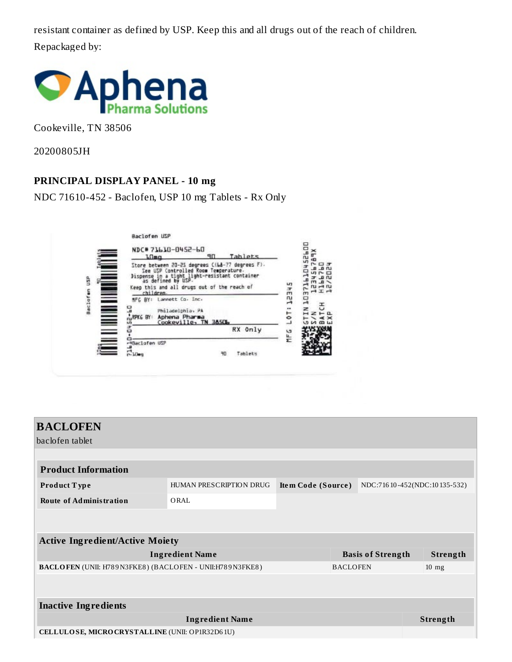resistant container as defined by USP. Keep this and all drugs out of the reach of children. Repackaged by:



Cookeville, TN 38506

20200805JH

#### **PRINCIPAL DISPLAY PANEL - 10 mg**

NDC 71610-452 - Baclofen, USP 10 mg Tablets - Rx Only



| <b>BACLOFEN</b>                                          |                         |                          |  |                                |  |  |  |  |
|----------------------------------------------------------|-------------------------|--------------------------|--|--------------------------------|--|--|--|--|
| baclofen tablet                                          |                         |                          |  |                                |  |  |  |  |
|                                                          |                         |                          |  |                                |  |  |  |  |
| <b>Product Information</b>                               |                         |                          |  |                                |  |  |  |  |
| Product Type                                             | HUMAN PRESCRIPTION DRUG | Item Code (Source)       |  | NDC:716 10-452(NDC:10 135-532) |  |  |  |  |
| <b>Route of Administration</b>                           | ORAL                    |                          |  |                                |  |  |  |  |
|                                                          |                         |                          |  |                                |  |  |  |  |
|                                                          |                         |                          |  |                                |  |  |  |  |
| <b>Active Ingredient/Active Moiety</b>                   |                         |                          |  |                                |  |  |  |  |
| <b>Ingredient Name</b>                                   |                         | <b>Basis of Strength</b> |  | Strength                       |  |  |  |  |
| BACLOFEN (UNII: H789N3FKE8) (BACLOFEN - UNII:H789N3FKE8) |                         | <b>BACLOFEN</b>          |  | $10 \text{ mg}$                |  |  |  |  |
|                                                          |                         |                          |  |                                |  |  |  |  |
|                                                          |                         |                          |  |                                |  |  |  |  |
| <b>Inactive Ingredients</b>                              |                         |                          |  |                                |  |  |  |  |
|                                                          | <b>Strength</b>         |                          |  |                                |  |  |  |  |
| CELLULOSE, MICRO CRYSTALLINE (UNII: OP1R32D61U)          |                         |                          |  |                                |  |  |  |  |